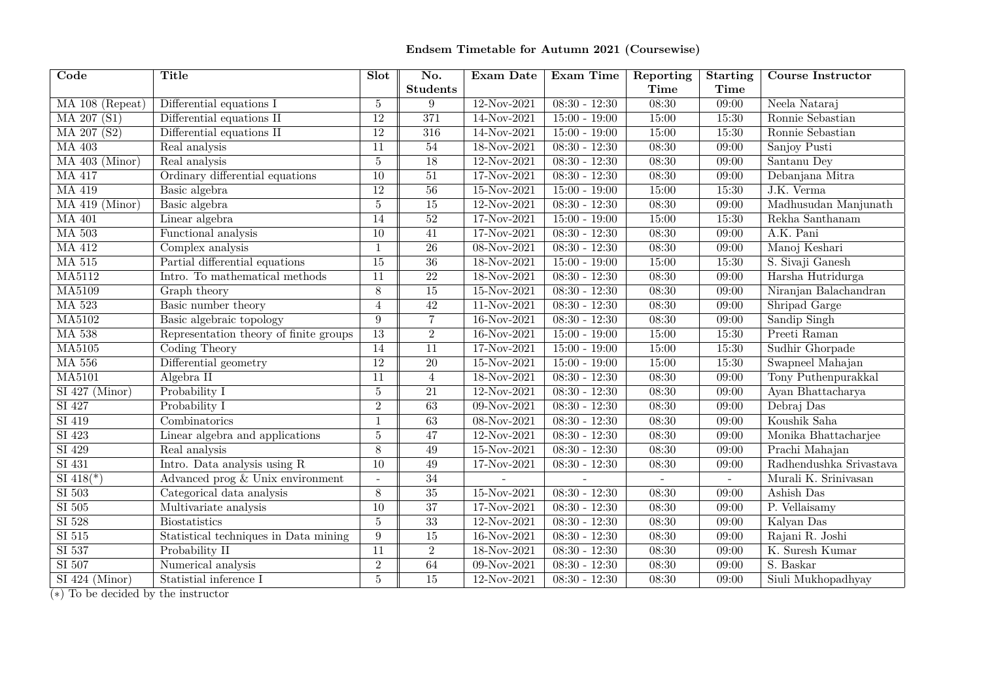## **Endsem Timetable for Autumn <sup>2021</sup> (Coursewise)**

| $\overline{\mathrm{Code}}$ | <b>Title</b>                           | Slot            | No.              | Exam Date       | Exam Time       | Reporting   | <b>Starting</b> | <b>Course Instructor</b> |
|----------------------------|----------------------------------------|-----------------|------------------|-----------------|-----------------|-------------|-----------------|--------------------------|
|                            |                                        |                 | <b>Students</b>  |                 |                 | <b>Time</b> | <b>Time</b>     |                          |
| MA 108 (Repeat)            | Differential equations I               | $\overline{5}$  | 9                | $12-Nov-2021$   | $08:30 - 12:30$ | 08:30       | 09:00           | Neela Nataraj            |
| MA 207 (S1)                | Differential equations II              | $\overline{12}$ | $\overline{371}$ | 14-Nov-2021     | $15:00 - 19:00$ | 15:00       | 15:30           | Ronnie Sebastian         |
| MA 207 (S2)                | Differential equations II              | $\overline{12}$ | 316              | 14-Nov-2021     | $15:00 - 19:00$ | 15:00       | 15:30           | Ronnie Sebastian         |
| <b>MA 403</b>              | Real analysis                          | 11              | $\overline{54}$  | 18-Nov-2021     | $08:30 - 12:30$ | 08:30       | 09:00           | Sanjoy Pusti             |
| $MA$ 403 (Minor)           | Real analysis                          | $\bf 5$         | 18               | 12-Nov-2021     | $08:30 - 12:30$ | 08:30       | 09:00           | Santanu Dey              |
| <b>MA 417</b>              | Ordinary differential equations        | 10              | 51               | 17-Nov-2021     | $08:30 - 12:30$ | 08:30       | 09:00           | Debanjana Mitra          |
| <b>MA 419</b>              | Basic algebra                          | <sup>12</sup>   | 56               | $15-Nov-2021$   | $15:00 - 19:00$ | 15:00       | 15:30           | J.K. Verma               |
| $MA$ 419 (Minor)           | Basic algebra                          | $\overline{5}$  | 15               | $12-Nov-2021$   | $08:30 - 12:30$ | 08:30       | 09:00           | Madhusudan Manjunath     |
| <b>MA 401</b>              | Linear algebra                         | 14              | 52               | 17-Nov-2021     | $15:00 - 19:00$ | 15:00       | 15:30           | Rekha Santhanam          |
| <b>MA 503</b>              | Functional analysis                    | $\overline{10}$ | 41               | 17-Nov-2021     | $08:30 - 12:30$ | 08:30       | 09:00           | A.K. Pani                |
| <b>MA 412</b>              | Complex analysis                       | $\mathbf{1}$    | $\overline{26}$  | $08 - Nov-2021$ | $08:30 - 12:30$ | 08:30       | 09:00           | Manoj Keshari            |
| <b>MA 515</b>              | Partial differential equations         | $\overline{15}$ | $\overline{36}$  | $18-Nov-2021$   | $15:00 - 19:00$ | 15:00       | 15:30           | S. Sivaji Ganesh         |
| <b>MA5112</b>              | Intro. To mathematical methods         | 11              | $\overline{22}$  | $18-Nov-2021$   | $08:30 - 12:30$ | 08:30       | 09:00           | Harsha Hutridurga        |
| <b>MA5109</b>              | Graph theory                           | $\overline{8}$  | $\overline{15}$  | $15-Nov-2021$   | $08:30 - 12:30$ | 08:30       | 09:00           | Niranjan Balachandran    |
| <b>MA 523</b>              | Basic number theory                    | $\overline{4}$  | $\overline{42}$  | $11-Nov-2021$   | $08:30 - 12:30$ | 08:30       | 09:00           | Shripad Garge            |
| MA5102                     | Basic algebraic topology               | 9               | $\overline{7}$   | $16-Nov-2021$   | $08:30 - 12:30$ | 08:30       | 09:00           | Sandip Singh             |
| <b>MA 538</b>              | Representation theory of finite groups | $\overline{13}$ | $\overline{2}$   | $16-Nov-2021$   | $15:00 - 19:00$ | 15:00       | 15:30           | Preeti Raman             |
| $\overline{\text{MA}5105}$ | Coding Theory                          | 14              | $\overline{11}$  | $17-Nov-2021$   | $15:00 - 19:00$ | 15:00       | 15:30           | Sudhir Ghorpade          |
| <b>MA 556</b>              | Differential geometry                  | $\overline{12}$ | $\overline{20}$  | $15-Nov-2021$   | $15:00 - 19:00$ | 15:00       | 15:30           | Swapneel Mahajan         |
| <b>MA5101</b>              | Algebra II                             | 11              | $\overline{4}$   | 18-Nov-2021     | $08:30 - 12:30$ | 08:30       | 09:00           | Tony Puthenpurakkal      |
| $SI$ 427 (Minor)           | Probability I                          | $\overline{5}$  | $\overline{21}$  | $12-Nov-2021$   | $08:30 - 12:30$ | 08:30       | 09:00           | Ayan Bhattacharya        |
| $\overline{SI\ 427}$       | Probability I                          | $\overline{2}$  | $\overline{63}$  | $09-Nov-2021$   | $08:30 - 12:30$ | 08:30       | 09:00           | Debraj Das               |
| $\overline{SI419}$         | $\overline{\text{Combinatorics}}$      | $\mathbf{1}$    | $\overline{63}$  | $08-Nov-2021$   | $08:30 - 12:30$ | 08:30       | 09:00           | Koushik Saha             |
| SI 423                     | Linear algebra and applications        | $\overline{5}$  | $\overline{47}$  | $12-Nov-2021$   | $08:30 - 12:30$ | 08:30       | 09:00           | Monika Bhattacharjee     |
| SI 429                     | Real analysis                          | $\overline{8}$  | $\overline{49}$  | $15-Nov-2021$   | $08:30 - 12:30$ | 08:30       | 09:00           | Prachi Mahajan           |
| $SI$ 431                   | Intro. Data analysis using R           | $\overline{10}$ | 49               | 17-Nov-2021     | $08:30 - 12:30$ | 08:30       | 09:00           | Radhendushka Srivastava  |
| $SI$ 418(*)                | Advanced prog & Unix environment       |                 | $\overline{34}$  |                 |                 |             | $\sim$          | Murali K. Srinivasan     |
| $SI$ 503                   | Categorical data analysis              | $\overline{8}$  | $\overline{35}$  | $15-Nov-2021$   | $08:30 - 12:30$ | 08:30       | 09:00           | Ashish Das               |
| SI 505                     | Multivariate analysis                  | $\overline{10}$ | $\overline{37}$  | 17-Nov-2021     | $08:30 - 12:30$ | 08:30       | 09:00           | P. Vellaisamy            |
| $SI$ 528                   | <b>Biostatistics</b>                   | $\overline{5}$  | 33               | $12-Nov-2021$   | $08:30 - 12:30$ | 08:30       | 09:00           | Kalyan Das               |
| $SI$ 515                   | Statistical techniques in Data mining  | 9               | $\overline{15}$  | $16-Nov-2021$   | $08:30 - 12:30$ | 08:30       | 09:00           | Rajani R. Joshi          |
| SI 537                     | Probability II                         | 11              | $\overline{2}$   | 18-Nov-2021     | $08:30 - 12:30$ | 08:30       | 09:00           | K. Suresh Kumar          |
| SI 507                     | Numerical analysis                     | $\overline{2}$  | 64               | $09-Nov-2021$   | $08:30 - 12:30$ | 08:30       | 09:00           | S. Baskar                |
| $SI$ 424 (Minor)           | Statistial inference I                 | $\bf 5$         | $\overline{15}$  | $12-Nov-2021$   | $08:30 - 12:30$ | 08:30       | 09:00           | Siuli Mukhopadhyay       |

(*∗*) To be decided by the instructor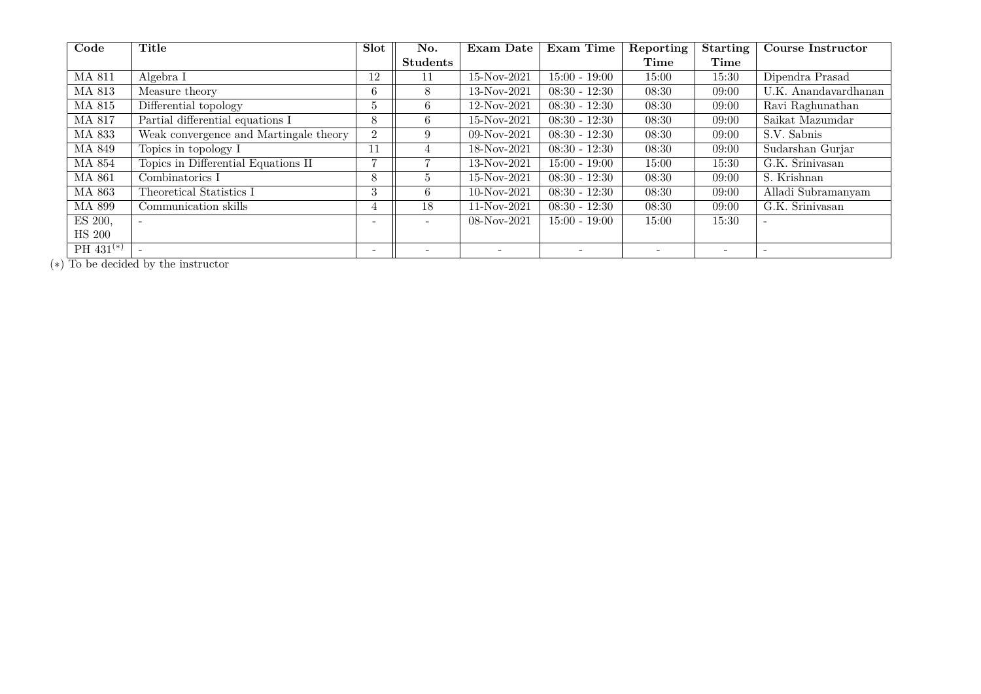| Code            | Title                                  | <b>Slot</b>              | No.                      | <b>Exam Date</b> | Exam Time       | Reporting | <b>Starting</b> | <b>Course Instructor</b> |
|-----------------|----------------------------------------|--------------------------|--------------------------|------------------|-----------------|-----------|-----------------|--------------------------|
|                 |                                        |                          | <b>Students</b>          |                  |                 | Time      | Time            |                          |
| MA 811          | Algebra I                              | 12                       | 11                       | $15-Nov-2021$    | $15:00 - 19:00$ | 15:00     | 15:30           | Dipendra Prasad          |
| MA 813          | Measure theory                         | 6                        | 8                        | 13-Nov-2021      | $08:30 - 12:30$ | 08:30     | 09:00           | U.K. Anandavardhanan     |
| MA 815          | Differential topology                  | .C                       | 6                        | 12-Nov-2021      | $08:30 - 12:30$ | 08:30     | 09:00           | Ravi Raghunathan         |
| MA 817          | Partial differential equations I       | 8                        | 6                        | 15-Nov-2021      | $08:30 - 12:30$ | 08:30     | 09:00           | Saikat Mazumdar          |
| <b>MA 833</b>   | Weak convergence and Martingale theory | $\overline{2}$           | 9                        | 09-Nov-2021      | $08:30 - 12:30$ | 08:30     | 09:00           | S.V. Sabnis              |
| MA 849          | Topics in topology I                   | 11                       | 4                        | 18-Nov-2021      | $08:30 - 12:30$ | 08:30     | 09:00           | Sudarshan Gurjar         |
| <b>MA 854</b>   | Topics in Differential Equations II    | $\overline{ }$           |                          | 13-Nov-2021      | $15:00 - 19:00$ | 15:00     | 15:30           | G.K. Srinivasan          |
| MA 861          | Combinatorics I                        | 8                        | $\mathcal{D}$            | 15-Nov-2021      | $08:30 - 12:30$ | 08:30     | 09:00           | S. Krishnan              |
| MA 863          | Theoretical Statistics I               | 3                        | 6.                       | 10-Nov-2021      | $08:30 - 12:30$ | 08:30     | 09:00           | Alladi Subramanyam       |
| <b>MA 899</b>   | Communication skills                   | 4                        | 18                       | 11-Nov-2021      | $08:30 - 12:30$ | 08:30     | 09:00           | G.K. Srinivasan          |
| ES 200,         | $\overline{\phantom{0}}$               | $\overline{\phantom{a}}$ | $\overline{\phantom{a}}$ | $08-Nov-2021$    | $15:00 - 19:00$ | 15:00     | 15:30           | $\sim$                   |
| <b>HS 200</b>   |                                        |                          |                          |                  |                 |           |                 |                          |
| $PH\,431^{(*)}$ |                                        | $\overline{\phantom{a}}$ |                          |                  |                 |           |                 |                          |

(*∗*) To be decided by the instructor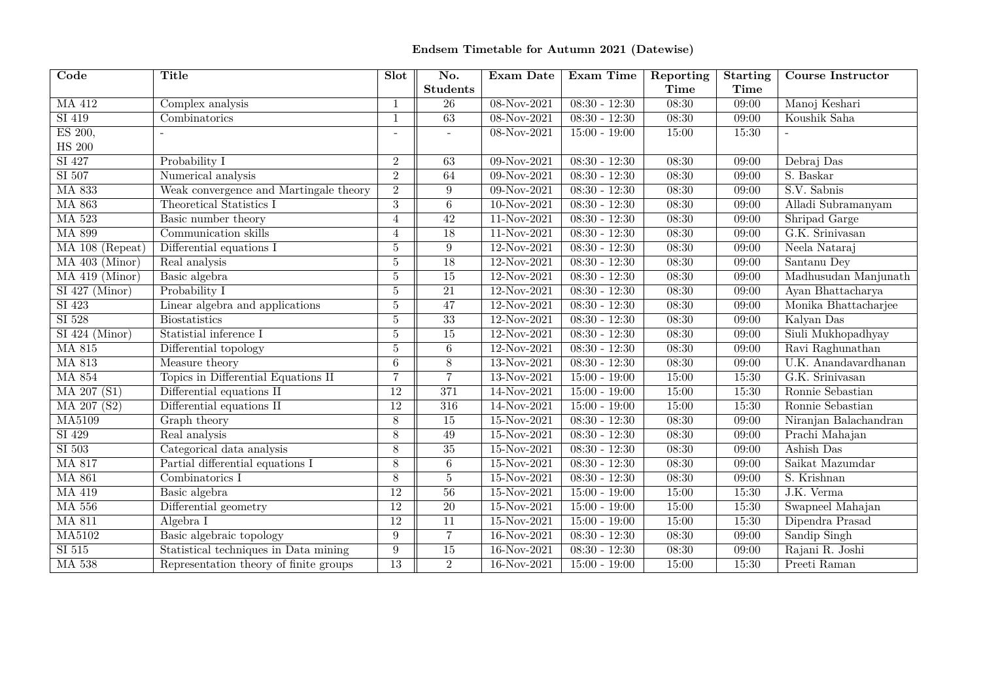## **Endsem Timetable for Autumn <sup>2021</sup> (Datewise)**

| $\overline{\text{Code}}$      | <b>Title</b>                           | Slot            | No.                      | Exam Date     | Exam Time                  | Reporting | Starting | <b>Course Instructor</b> |
|-------------------------------|----------------------------------------|-----------------|--------------------------|---------------|----------------------------|-----------|----------|--------------------------|
|                               |                                        |                 | <b>Students</b>          |               |                            | Time      | Time     |                          |
| MA 412                        | Complex analysis                       | -1              | 26                       | 08-Nov-2021   | $08:30 - 12:30$            | 08:30     | 09:00    | Manoj Keshari            |
| SI 419                        | Combinatorics                          | $\overline{1}$  | 63                       | $08-Nov-2021$ | $\overline{08:30 - 12:30}$ | 08:30     | 09:00    | Koushik Saha             |
| ES 200,                       |                                        | $\overline{a}$  | $\overline{\phantom{a}}$ | 08-Nov-2021   | $15:00 - 19:00$            | 15:00     | 15:30    |                          |
| <b>HS 200</b>                 |                                        |                 |                          |               |                            |           |          |                          |
| SI 427                        | Probability I                          | $\overline{2}$  | 63                       | $09-Nov-2021$ | $08:30 - 12:30$            | 08:30     | 09:00    | Debraj Das               |
| SI 507                        | Numerical analysis                     | $\mathcal{D}$   | 64                       | $09-Nov-2021$ | $08:30 - 12:30$            | 08:30     | 09:00    | S. Baskar                |
| <b>MA 833</b>                 | Weak convergence and Martingale theory | $\overline{2}$  | $\boldsymbol{9}$         | $09-Nov-2021$ | $08:30 - 12:30$            | 08:30     | 09:00    | S.V. Sabnis              |
| <b>MA 863</b>                 | Theoretical Statistics I               | 3               | $6\phantom{.0}$          | $10-Nov-2021$ | $08:30 - 12:30$            | 08:30     | 09:00    | Alladi Subramanyam       |
| <b>MA 523</b>                 | Basic number theory                    | $\overline{4}$  | $\overline{42}$          | 11-Nov-2021   | $08:30 - 12:30$            | 08:30     | 09:00    | Shripad Garge            |
| <b>MA 899</b>                 | Communication skills                   | $\overline{4}$  | $\overline{18}$          | $11-Nov-2021$ | $08:30 - 12:30$            | 08:30     | 09:00    | G.K. Srinivasan          |
| MA 108 (Repeat)               | Differential equations I               | 5               | $\overline{9}$           | 12-Nov-2021   | $08:30 - 12:30$            | 08:30     | 09:00    | Neela Nataraj            |
| $MA$ 403 (Minor)              | Real analysis                          | 5               | $\overline{18}$          | 12-Nov-2021   | $08:30 - 12:30$            | 08:30     | 09:00    | Santanu Dey              |
| $MA$ 419 (Minor)              | Basic algebra                          | 5               | 15                       | 12-Nov-2021   | $08:30 - 12:30$            | 08:30     | 09:00    | Madhusudan Manjunath     |
| $\overline{SI\ 427\ (Minor)}$ | Probability I                          | 5               | $\overline{21}$          | $12-Nov-2021$ | $08:30 - 12:30$            | 08:30     | 09:00    | Ayan Bhattacharya        |
| $\overline{SI423}$            | Linear algebra and applications        | 5               | $\overline{47}$          | $12-Nov-2021$ | $08:30 - 12:30$            | 08:30     | 09:00    | Monika Bhattacharjee     |
| $\overline{SI\ 528}$          | Biostatistics                          | 5               | $\overline{33}$          | 12-Nov-2021   | $08:30 - 12:30$            | 08:30     | 09:00    | Kalyan Das               |
| $SI$ 424 (Minor)              | Statistial inference I                 | $\overline{5}$  | $\overline{15}$          | 12-Nov-2021   | $08:30 - 12:30$            | 08:30     | 09:00    | Siuli Mukhopadhyay       |
| <b>MA 815</b>                 | Differential topology                  | 5               | $6\phantom{.0}$          | 12-Nov-2021   | $08:30 - 12:30$            | 08:30     | 09:00    | Ravi Raghunathan         |
| <b>MA 813</b>                 | Measure theory                         | 6               | 8                        | 13-Nov-2021   | $08:30 - 12:30$            | 08:30     | 09:00    | U.K. Anandavardhanan     |
| <b>MA 854</b>                 | Topics in Differential Equations II    | $\overline{7}$  | $\overline{7}$           | $13-Nov-2021$ | $15:00 - 19:00$            | 15:00     | 15:30    | G.K. Srinivasan          |
| MA 207 (S1)                   | Differential equations II              | $\overline{12}$ | 371                      | 14-Nov-2021   | $15:00 - 19:00$            | 15:00     | 15:30    | Ronnie Sebastian         |
| MA 207 (S2)                   | Differential equations II              | $\overline{12}$ | 316                      | 14-Nov-2021   | $15:00 - 19:00$            | 15:00     | 15:30    | Ronnie Sebastian         |
| <b>MA5109</b>                 | Graph theory                           | 8               | 15                       | 15-Nov-2021   | $08:30 - 12:30$            | 08:30     | 09:00    | Niranjan Balachandran    |
| SI 429                        | Real analysis                          | 8               | 49                       | 15-Nov-2021   | $08:30 - 12:30$            | 08:30     | 09:00    | Prachi Mahajan           |
| $SI$ 503                      | Categorical data analysis              | 8               | 35                       | $15-Nov-2021$ | $08:30 - 12:30$            | 08:30     | 09:00    | Ashish Das               |
| <b>MA 817</b>                 | Partial differential equations I       | 8               | $\overline{6}$           | $15-Nov-2021$ | $08:30 - 12:30$            | 08:30     | 09:00    | Saikat Mazumdar          |
| <b>MA 861</b>                 | Combinatorics $I$                      | 8               | $\overline{5}$           | $15-Nov-2021$ | $08:30 - 12:30$            | 08:30     | 09:00    | S. Krishnan              |
| MA 419                        | Basic algebra                          | $\overline{12}$ | 56                       | $15-Nov-2021$ | $15:00 - 19:00$            | 15:00     | 15:30    | J.K. Verma               |
| <b>MA 556</b>                 | Differential geometry                  | <sup>12</sup>   | 20                       | 15-Nov-2021   | $15:00 - 19:00$            | 15:00     | 15:30    | Swapneel Mahajan         |
| <b>MA 811</b>                 | Algebra I                              | <sup>12</sup>   | $\overline{11}$          | $15-Nov-2021$ | $15:00 - 19:00$            | 15:00     | 15:30    | Dipendra Prasad          |
| <b>MA5102</b>                 | Basic algebraic topology               | 9               | $\overline{7}$           | 16-Nov-2021   | $08:30 - 12:30$            | 08:30     | 09:00    | Sandip Singh             |
| $\overline{SI\ 515}$          | Statistical techniques in Data mining  | 9               | $\overline{15}$          | 16-Nov-2021   | $08:30 - 12:30$            | 08:30     | 09:00    | Rajani R. Joshi          |
| <b>MA 538</b>                 | Representation theory of finite groups | $\overline{13}$ | $\overline{2}$           | 16-Nov-2021   | $15:00 - 19:00$            | 15:00     | 15:30    | Preeti Raman             |